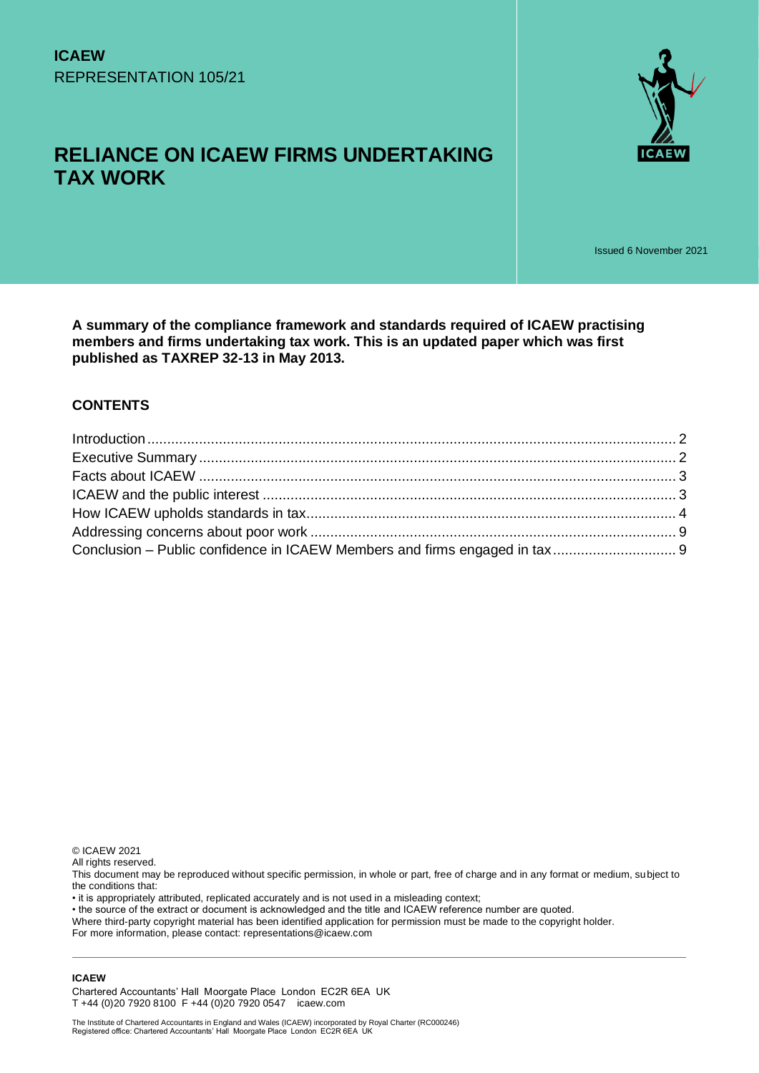



Issued 6 November 2021

**A summary of the compliance framework and standards required of ICAEW practising members and firms undertaking tax work. This is an updated paper which was first published as TAXREP 32-13 in May 2013.**

#### **CONTENTS**

© ICAEW 2021

All rights reserved.

This document may be reproduced without specific permission, in whole or part, free of charge and in any format or medium, subject to the conditions that:

• it is appropriately attributed, replicated accurately and is not used in a misleading context;

• the source of the extract or document is acknowledged and the title and ICAEW reference number are quoted.

Where third-party copyright material has been identified application for permission must be made to the copyright holder.

For more information, please contact: representations@icaew.com

#### **ICAEW**

Chartered Accountants' Hall Moorgate Place London EC2R 6EA UK T +44 (0)20 7920 8100 F +44 (0)20 7920 0547 icaew.com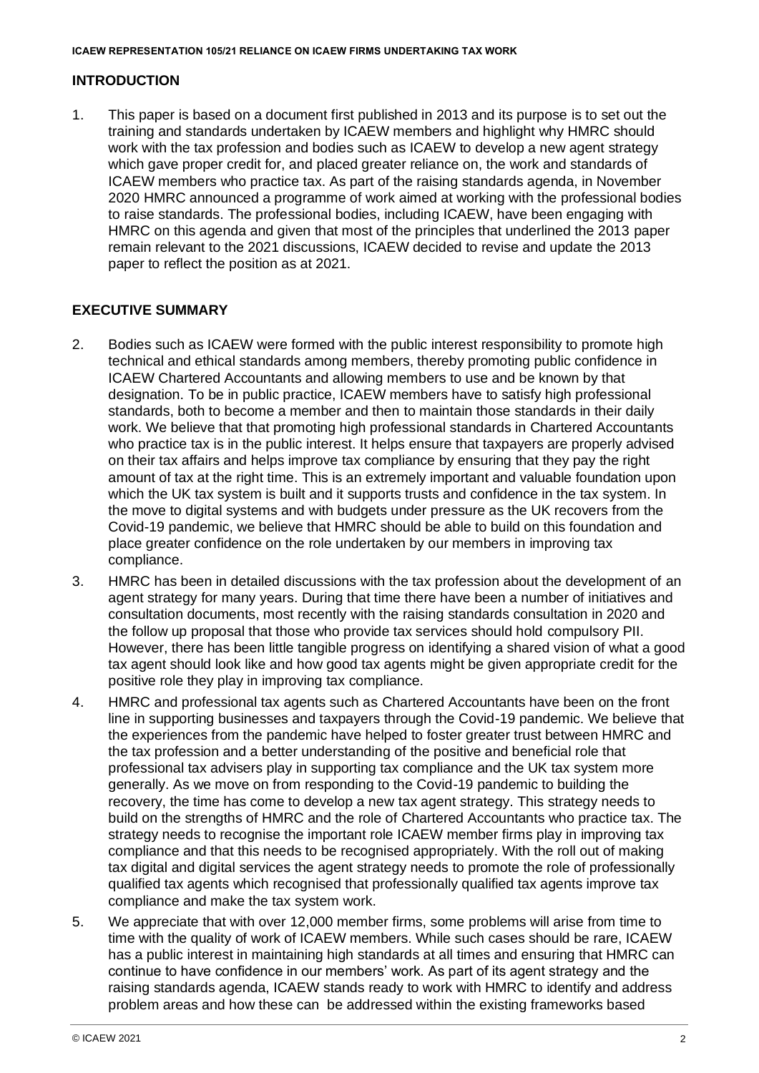## <span id="page-1-0"></span>**INTRODUCTION**

1. This paper is based on a document first published in 2013 and its purpose is to set out the training and standards undertaken by ICAEW members and highlight why HMRC should work with the tax profession and bodies such as ICAEW to develop a new agent strategy which gave proper credit for, and placed greater reliance on, the work and standards of ICAEW members who practice tax. As part of the raising standards agenda, in November 2020 HMRC announced a programme of work aimed at working with the professional bodies to raise standards. The professional bodies, including ICAEW, have been engaging with HMRC on this agenda and given that most of the principles that underlined the 2013 paper remain relevant to the 2021 discussions, ICAEW decided to revise and update the 2013 paper to reflect the position as at 2021.

## <span id="page-1-1"></span>**EXECUTIVE SUMMARY**

- 2. Bodies such as ICAEW were formed with the public interest responsibility to promote high technical and ethical standards among members, thereby promoting public confidence in ICAEW Chartered Accountants and allowing members to use and be known by that designation. To be in public practice, ICAEW members have to satisfy high professional standards, both to become a member and then to maintain those standards in their daily work. We believe that that promoting high professional standards in Chartered Accountants who practice tax is in the public interest. It helps ensure that taxpayers are properly advised on their tax affairs and helps improve tax compliance by ensuring that they pay the right amount of tax at the right time. This is an extremely important and valuable foundation upon which the UK tax system is built and it supports trusts and confidence in the tax system. In the move to digital systems and with budgets under pressure as the UK recovers from the Covid-19 pandemic, we believe that HMRC should be able to build on this foundation and place greater confidence on the role undertaken by our members in improving tax compliance.
- 3. HMRC has been in detailed discussions with the tax profession about the development of an agent strategy for many years. During that time there have been a number of initiatives and consultation documents, most recently with the raising standards consultation in 2020 and the follow up proposal that those who provide tax services should hold compulsory PII. However, there has been little tangible progress on identifying a shared vision of what a good tax agent should look like and how good tax agents might be given appropriate credit for the positive role they play in improving tax compliance.
- 4. HMRC and professional tax agents such as Chartered Accountants have been on the front line in supporting businesses and taxpayers through the Covid-19 pandemic. We believe that the experiences from the pandemic have helped to foster greater trust between HMRC and the tax profession and a better understanding of the positive and beneficial role that professional tax advisers play in supporting tax compliance and the UK tax system more generally. As we move on from responding to the Covid-19 pandemic to building the recovery, the time has come to develop a new tax agent strategy. This strategy needs to build on the strengths of HMRC and the role of Chartered Accountants who practice tax. The strategy needs to recognise the important role ICAEW member firms play in improving tax compliance and that this needs to be recognised appropriately. With the roll out of making tax digital and digital services the agent strategy needs to promote the role of professionally qualified tax agents which recognised that professionally qualified tax agents improve tax compliance and make the tax system work.
- 5. We appreciate that with over 12,000 member firms, some problems will arise from time to time with the quality of work of ICAEW members. While such cases should be rare, ICAEW has a public interest in maintaining high standards at all times and ensuring that HMRC can continue to have confidence in our members' work. As part of its agent strategy and the raising standards agenda, ICAEW stands ready to work with HMRC to identify and address problem areas and how these can be addressed within the existing frameworks based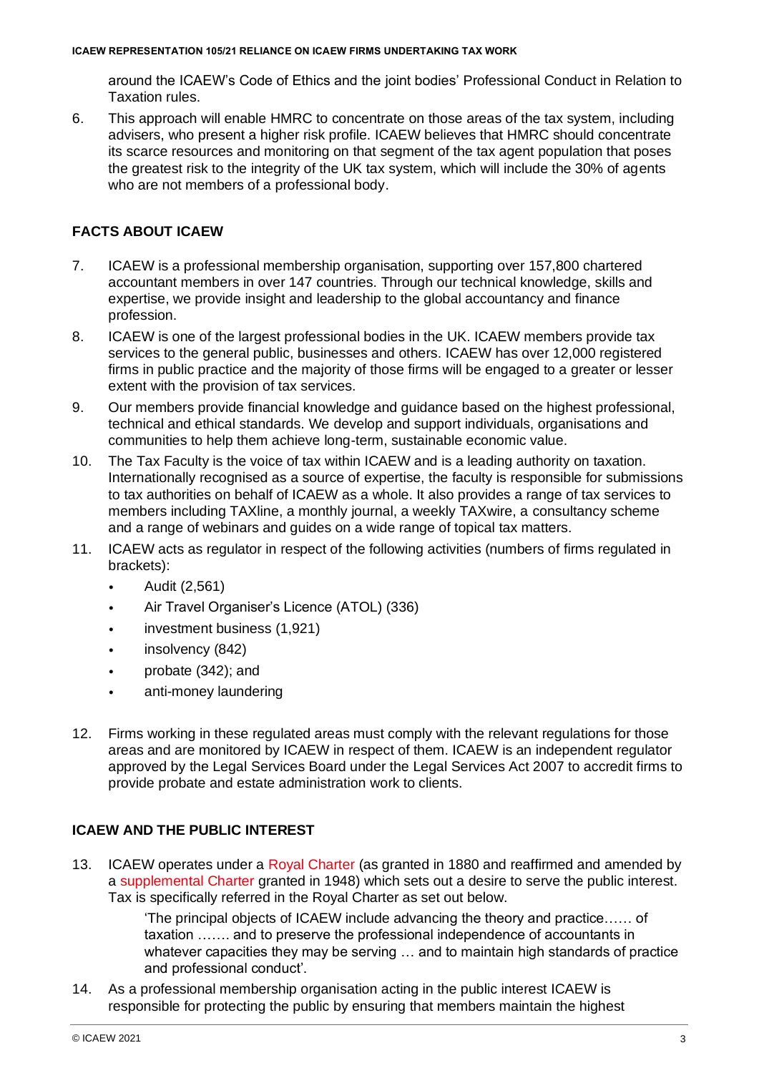around the ICAEW's Code of Ethics and the joint bodies' Professional Conduct in Relation to Taxation rules.

6. This approach will enable HMRC to concentrate on those areas of the tax system, including advisers, who present a higher risk profile. ICAEW believes that HMRC should concentrate its scarce resources and monitoring on that segment of the tax agent population that poses the greatest risk to the integrity of the UK tax system, which will include the 30% of agents who are not members of a professional body.

# <span id="page-2-0"></span>**FACTS ABOUT ICAEW**

- 7. ICAEW is a professional membership organisation, supporting over 157,800 chartered accountant members in over 147 countries. Through our technical knowledge, skills and expertise, we provide insight and leadership to the global accountancy and finance profession.
- 8. ICAEW is one of the largest professional bodies in the UK. ICAEW members provide tax services to the general public, businesses and others. ICAEW has over 12,000 registered firms in public practice and the majority of those firms will be engaged to a greater or lesser extent with the provision of tax services.
- 9. Our members provide financial knowledge and guidance based on the highest professional, technical and ethical standards. We develop and support individuals, organisations and communities to help them achieve long-term, sustainable economic value.
- 10. The Tax Faculty is the voice of tax within ICAEW and is a leading authority on taxation. Internationally recognised as a source of expertise, the faculty is responsible for submissions to tax authorities on behalf of ICAEW as a whole. It also provides a range of tax services to members including TAXline, a monthly journal, a weekly TAXwire, a consultancy scheme and a range of webinars and guides on a wide range of topical tax matters.
- 11. ICAEW acts as regulator in respect of the following activities (numbers of firms regulated in brackets):
	- Audit (2,561)
	- Air Travel Organiser's Licence (ATOL) (336)
	- investment business (1,921)
	- insolvency (842)
	- probate (342); and
	- anti-money laundering
- 12. Firms working in these regulated areas must comply with the relevant regulations for those areas and are monitored by ICAEW in respect of them. ICAEW is an independent regulator approved by the Legal Services Board under the Legal Services Act 2007 to accredit firms to provide probate and estate administration work to clients.

## <span id="page-2-1"></span>**ICAEW AND THE PUBLIC INTEREST**

13. ICAEW operates under a [Royal Charter](https://www.icaew.com/-/media/corporate/files/about-icaew/who-we-are/charters-bye-laws/royal-charter-of-the-11th-may-1880.ashx?la=en) (as granted in 1880 and reaffirmed and amended by a [supplemental Charter](https://www.icaew.com/-/media/corporate/files/about-icaew/who-we-are/charters-bye-laws/supplemental-charter-of-the-21st-december-1948.ashx?la=en) granted in 1948) which sets out a desire to serve the public interest. Tax is specifically referred in the Royal Charter as set out below.

> 'The principal objects of ICAEW include advancing the theory and practice…… of taxation ……. and to preserve the professional independence of accountants in whatever capacities they may be serving … and to maintain high standards of practice and professional conduct'.

14. As a professional membership organisation acting in the public interest ICAEW is responsible for protecting the public by ensuring that members maintain the highest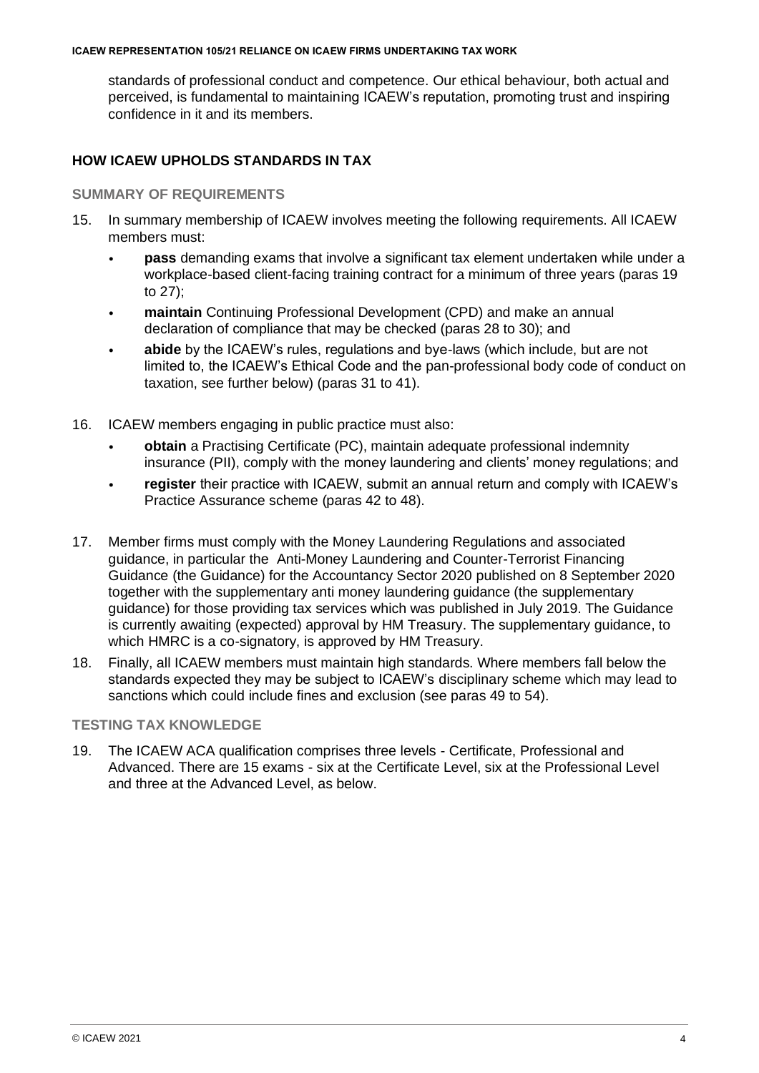#### **ICAEW REPRESENTATION 105/21 RELIANCE ON ICAEW FIRMS UNDERTAKING TAX WORK**

standards of professional conduct and competence. Our ethical behaviour, both actual and perceived, is fundamental to maintaining ICAEW's reputation, promoting trust and inspiring confidence in it and its members.

## <span id="page-3-0"></span>**HOW ICAEW UPHOLDS STANDARDS IN TAX**

#### **SUMMARY OF REQUIREMENTS**

- 15. In summary membership of ICAEW involves meeting the following requirements. All ICAEW members must:
	- **pass** demanding exams that involve a significant tax element undertaken while under a workplace-based client-facing training contract for a minimum of three years (paras 19 to 27);
	- **maintain** Continuing Professional Development (CPD) and make an annual declaration of compliance that may be checked (paras 28 to 30); and
	- **abide** by the ICAEW's rules, regulations and bye-laws (which include, but are not limited to, the ICAEW's Ethical Code and the pan-professional body code of conduct on taxation, see further below) (paras 31 to 41).
- 16. ICAEW members engaging in public practice must also:
	- **obtain** a Practising Certificate (PC), maintain adequate professional indemnity insurance (PII), comply with the money laundering and clients' money regulations; and
	- **register** their practice with ICAEW, submit an annual return and comply with ICAEW's Practice Assurance scheme (paras 42 to 48).
- 17. Member firms must comply with the Money Laundering Regulations and associated guidance, in particular the [A](http://www.icaew.com/en/members/regulations-standards-and-guidance/practice-management/anti-money-laundering-guidance)nti-Money Laundering and Counter-Terrorist Financing Guidance (the Guidance) for the Accountancy Sector 2020 published on 8 September 2020 together with the supplementary anti money laundering guidance (the supplementary guidance) for those providing tax services which was published in July 2019. The Guidance is currently awaiting (expected) approval by HM Treasury. The supplementary guidance, to which HMRC is a co-signatory, is approved by HM Treasury.
- 18. Finally, all ICAEW members must maintain high standards. Where members fall below the standards expected they may be subject to ICAEW's disciplinary scheme which may lead to sanctions which could include fines and exclusion (see paras 49 to 54).

#### **TESTING TAX KNOWLEDGE**

19. The ICAEW ACA qualification comprises three levels - Certificate, Professional and Advanced. There are 15 exams - six at the Certificate Level, six at the Professional Level and three at the Advanced Level, as below.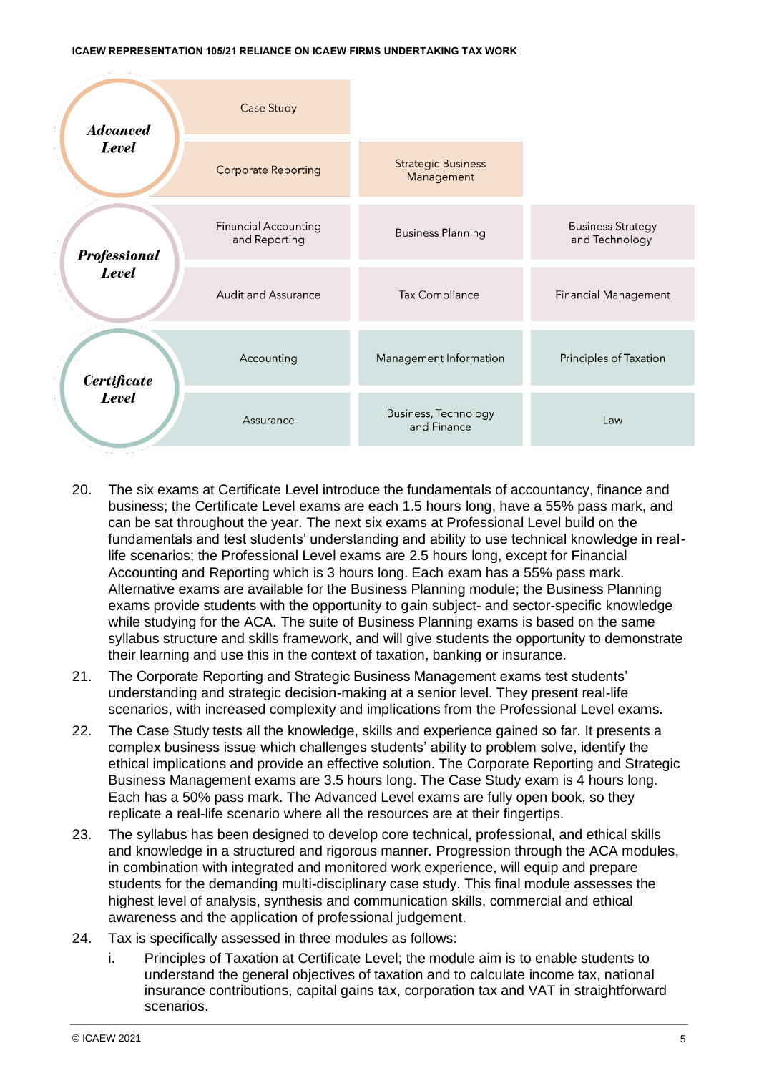

- 20. The six exams at Certificate Level introduce the fundamentals of accountancy, finance and business; the Certificate Level exams are each 1.5 hours long, have a 55% pass mark, and can be sat throughout the year. The next six exams at Professional Level build on the fundamentals and test students' understanding and ability to use technical knowledge in reallife scenarios; the Professional Level exams are 2.5 hours long, except for Financial Accounting and Reporting which is 3 hours long. Each exam has a 55% pass mark. Alternative exams are available for the Business Planning module; the Business Planning exams provide students with the opportunity to gain subject- and sector-specific knowledge while studying for the ACA. The suite of Business Planning exams is based on the same syllabus structure and skills framework, and will give students the opportunity to demonstrate their learning and use this in the context of taxation, banking or insurance.
- 21. The Corporate Reporting and Strategic Business Management exams test students' understanding and strategic decision-making at a senior level. They present real-life scenarios, with increased complexity and implications from the Professional Level exams.
- 22. The Case Study tests all the knowledge, skills and experience gained so far. It presents a complex business issue which challenges students' ability to problem solve, identify the ethical implications and provide an effective solution. The Corporate Reporting and Strategic Business Management exams are 3.5 hours long. The Case Study exam is 4 hours long. Each has a 50% pass mark. The Advanced Level exams are fully open book, so they replicate a real-life scenario where all the resources are at their fingertips.
- 23. The syllabus has been designed to develop core technical, professional, and ethical skills and knowledge in a structured and rigorous manner. Progression through the ACA modules, in combination with integrated and monitored work experience, will equip and prepare students for the demanding multi-disciplinary case study. This final module assesses the highest level of analysis, synthesis and communication skills, commercial and ethical awareness and the application of professional judgement.
- 24. Tax is specifically assessed in three modules as follows:
	- i. Principles of Taxation at Certificate Level; the module aim is to enable students to understand the general objectives of taxation and to calculate income tax, national insurance contributions, capital gains tax, corporation tax and VAT in straightforward scenarios.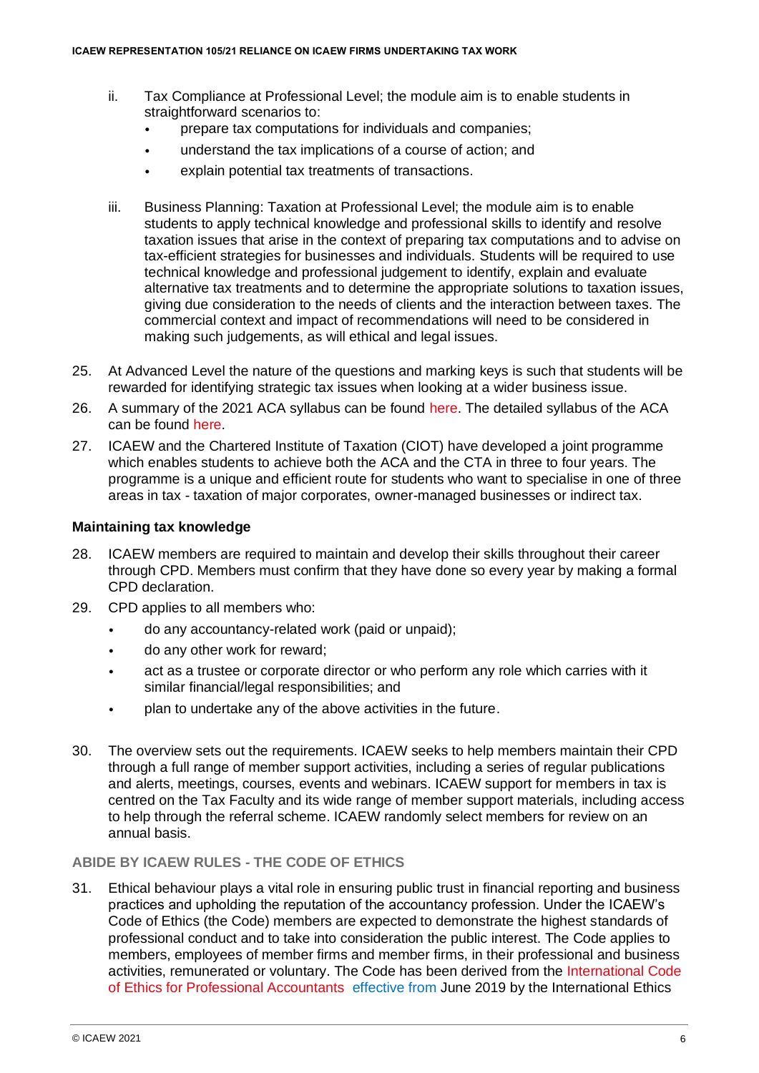- ii. Tax Compliance at Professional Level; the module aim is to enable students in straightforward scenarios to:
	- prepare tax computations for individuals and companies;
	- understand the tax implications of a course of action; and
	- explain potential tax treatments of transactions.
- iii. Business Planning: Taxation at Professional Level; the module aim is to enable students to apply technical knowledge and professional skills to identify and resolve taxation issues that arise in the context of preparing tax computations and to advise on tax-efficient strategies for businesses and individuals. Students will be required to use technical knowledge and professional judgement to identify, explain and evaluate alternative tax treatments and to determine the appropriate solutions to taxation issues, giving due consideration to the needs of clients and the interaction between taxes. The commercial context and impact of recommendations will need to be considered in making such judgements, as will ethical and legal issues.
- 25. At Advanced Level the nature of the questions and marking keys is such that students will be rewarded for identifying strategic tax issues when looking at a wider business issue.
- 26. A summary of the 2021 ACA syllabus can be found [here.](https://www.icaew.com/-/media/corporate/files/learning-and-development/aca-syllabus/aca-syllabus-2021.ashx) The detailed syllabus of the ACA can be found [here.](https://www.icaew.com/-/media/corporate/files/learning-and-development/aca-syllabus/2021-aca-syllabus-handbook_professional.ashx)
- 27. ICAEW and the Chartered Institute of Taxation (CIOT) have developed a joint programme which enables students to achieve both the ACA and the CTA in three to four years. The programme is a unique and efficient route for students who want to specialise in one of three areas in tax - taxation of major corporates, owner-managed businesses or indirect tax.

#### **Maintaining tax knowledge**

- 28. ICAEW members are required to maintain and develop their skills throughout their career through CPD. Members must confirm that they have done so every year by making a formal CPD declaration.
- 29. CPD applies to all members who:
	- do any accountancy-related work (paid or unpaid);
	- do any other work for reward;
	- act as a trustee or corporate director or who perform any role which carries with it similar financial/legal responsibilities; and
	- plan to undertake any of the above activities in the future.
- 30. The overview sets out the requirements. ICAEW seeks to help members maintain their CPD through a full range of member support activities, including a series of regular publications and alerts, meetings, courses, events and webinars. ICAEW support for members in tax is centred on the Tax Faculty and its wide range of member support materials, including access to help through the referral scheme. ICAEW randomly select members for review on an annual basis.

#### **ABIDE BY ICAEW RULES - THE CODE OF ETHICS**

31. Ethical behaviour plays a vital role in ensuring public trust in financial reporting and business practices and upholding the reputation of the accountancy profession. Under the ICAEW's Code of Ethics (the Code) members are expected to demonstrate the highest standards of professional conduct and to take into consideration the public interest. The Code applies to members, employees of member firms and member firms, in their professional and business activities, remunerated or voluntary. The Code has been derived from the [International Code](https://www.ethicsboard.org/international-code-ethics-professional-accountants)  [of Ethics for Professional Accountants](https://www.ethicsboard.org/international-code-ethics-professional-accountants) [e](http://www.ifac.org/Ethics/)ffective from June 2019 by the International Ethics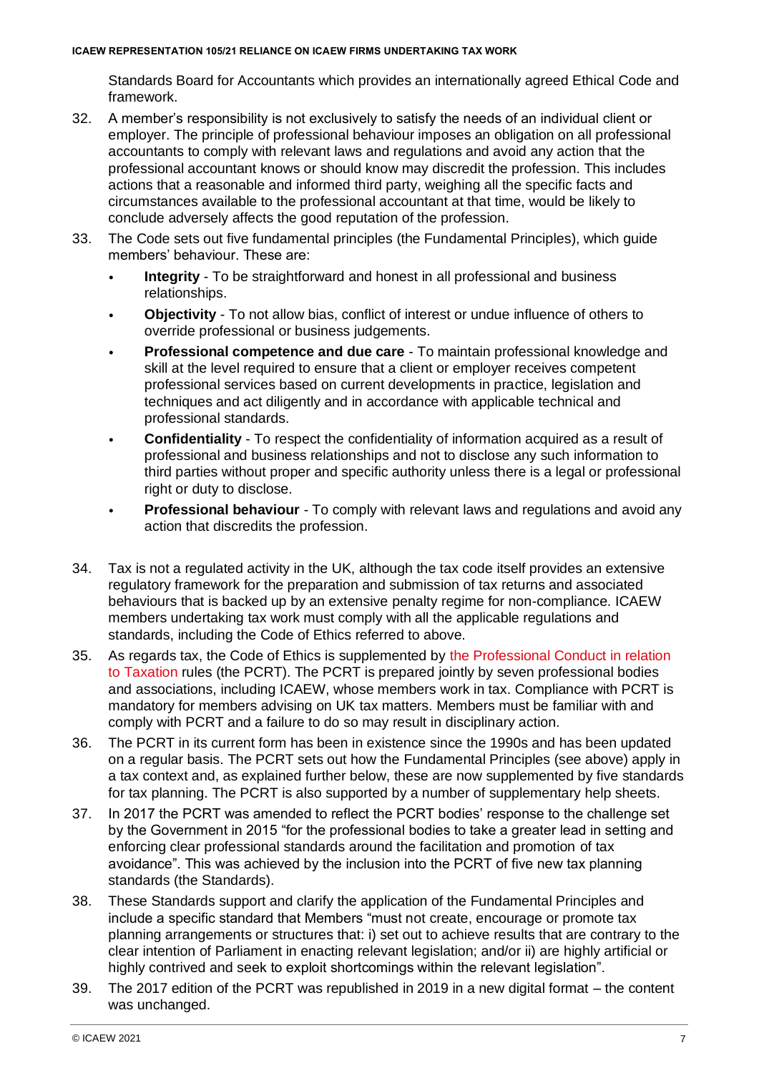Standards Board for Accountants which provides an internationally agreed Ethical Code and framework.

- 32. A member's responsibility is not exclusively to satisfy the needs of an individual client or employer. The principle of professional behaviour imposes an obligation on all professional accountants to comply with relevant laws and regulations and avoid any action that the professional accountant knows or should know may discredit the profession. This includes actions that a reasonable and informed third party, weighing all the specific facts and circumstances available to the professional accountant at that time, would be likely to conclude adversely affects the good reputation of the profession.
- 33. The Code sets out five fundamental principles (the Fundamental Principles), which guide members' behaviour. These are:
	- **Integrity** To be straightforward and honest in all professional and business relationships.
	- **Objectivity** To not allow bias, conflict of interest or undue influence of others to override professional or business judgements.
	- **Professional competence and due care** To maintain professional knowledge and skill at the level required to ensure that a client or employer receives competent professional services based on current developments in practice, legislation and techniques and act diligently and in accordance with applicable technical and professional standards.
	- **Confidentiality** To respect the confidentiality of information acquired as a result of professional and business relationships and not to disclose any such information to third parties without proper and specific authority unless there is a legal or professional right or duty to disclose.
	- **Professional behaviour** To comply with relevant laws and regulations and avoid any action that discredits the profession.
- 34. Tax is not a regulated activity in the UK, although the tax code itself provides an extensive regulatory framework for the preparation and submission of tax returns and associated behaviours that is backed up by an extensive penalty regime for non-compliance. ICAEW members undertaking tax work must comply with all the applicable regulations and standards, including the Code of Ethics referred to above.
- 35. As regards tax, the Code of Ethics is supplemented by [the Professional Conduct in relation](http://www.icaew.com/en/members/regulations-standards-and-guidance/tax/professional-conduct-in-relation-to-taxation)  [to](http://www.icaew.com/en/members/regulations-standards-and-guidance/tax/professional-conduct-in-relation-to-taxation) [Taxation](http://www.icaew.com/en/members/regulations-standards-and-guidance/tax/professional-conduct-in-relation-to-taxation) rules (the PCRT). The PCRT is prepared jointly by seven professional bodies and associations, including ICAEW, whose members work in tax. Compliance with PCRT is mandatory for members advising on UK tax matters. Members must be familiar with and comply with PCRT and a failure to do so may result in disciplinary action.
- 36. The PCRT in its current form has been in existence since the 1990s and has been updated on a regular basis. The PCRT sets out how the Fundamental Principles (see above) apply in a tax context and, as explained further below, these are now supplemented by five standards for tax planning. The PCRT is also supported by a number of supplementary help sheets.
- 37. In 2017 the PCRT was amended to reflect the PCRT bodies' response to the challenge set by the Government in 2015 "for the professional bodies to take a greater lead in setting and enforcing clear professional standards around the facilitation and promotion of tax avoidance". This was achieved by the inclusion into the PCRT of five new tax planning standards (the Standards).
- 38. These Standards support and clarify the application of the Fundamental Principles and include a specific standard that Members "must not create, encourage or promote tax planning arrangements or structures that: i) set out to achieve results that are contrary to the clear intention of Parliament in enacting relevant legislation; and/or ii) are highly artificial or highly contrived and seek to exploit shortcomings within the relevant legislation".
- 39. The 2017 edition of the PCRT was republished in 2019 in a new digital format the content was unchanged.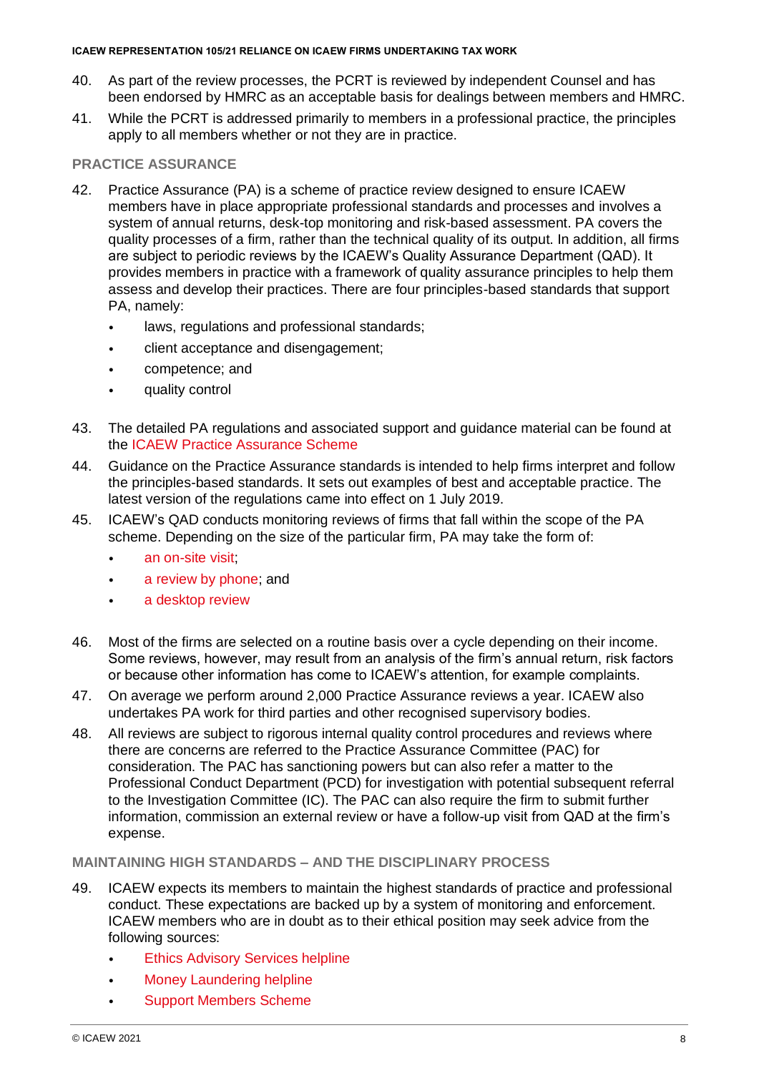#### **ICAEW REPRESENTATION 105/21 RELIANCE ON ICAEW FIRMS UNDERTAKING TAX WORK**

- 40. As part of the review processes, the PCRT is reviewed by independent Counsel and has been endorsed by HMRC as an acceptable basis for dealings between members and HMRC.
- 41. While the PCRT is addressed primarily to members in a professional practice, the principles apply to all members whether or not they are in practice.

### **PRACTICE ASSURANCE**

- 42. Practice Assurance (PA) is a scheme of practice review designed to ensure ICAEW members have in place appropriate professional standards and processes and involves a system of annual returns, desk-top monitoring and risk-based assessment. PA covers the quality processes of a firm, rather than the technical quality of its output. In addition, all firms are subject to periodic reviews by the ICAEW's Quality Assurance Department (QAD). It provides members in practice with a framework of quality assurance principles to help them assess and develop their practices. There are four principles-based standards that support PA, namely:
	- laws, regulations and professional standards;
	- client acceptance and disengagement;
	- competence; and
	- quality control
- 43. The detailed PA regulations and associated support and guidance material can be found at the [ICAEW Practice Assurance Scheme](https://www.icaew.com/regulation/practice-assurance#:~:text=The%20ICAEW%20Practice%20Assurance%20scheme%20Our%20Practice%20Assurance,of%20principles-based%20quality%20assurance%20standards%20to%20operate%20to.)
- 44. Guidance on the Practice Assurance standards is intended to help firms interpret and follow the principles-based standards. It sets out examples of best and acceptable practice. The latest version of the regulations came into effect on 1 July 2019.
- 45. ICAEW's QAD conducts monitoring reviews of firms that fall within the scope of the PA scheme. Depending on the size of the particular firm, PA may take the form of:
	- [an on-site visit;](http://www.icaew.com/~/media/Files/Members/practice-centre/practice-assurance/practice-assurance-visit.ashx)
	- [a review by phone;](http://www.icaew.com/~/media/Files/Members/practice-centre/practice-assurance/practice-assurance-by-phone.ashx) and
	- [a desktop review](http://www.icaew.com/~/media/Files/Members/practice-centre/practice-assurance/practice-assurance-desktop-reviews.ashx)
- 46. Most of the firms are selected on a routine basis over a cycle depending on their income. Some reviews, however, may result from an analysis of the firm's annual return, risk factors or because other information has come to ICAEW's attention, for example complaints.
- 47. On average we perform around 2,000 Practice Assurance reviews a year. ICAEW also undertakes PA work for third parties and other recognised supervisory bodies.
- 48. All reviews are subject to rigorous internal quality control procedures and reviews where there are concerns are referred to the Practice Assurance Committee (PAC) for consideration. The PAC has sanctioning powers but can also refer a matter to the Professional Conduct Department (PCD) for investigation with potential subsequent referral to the Investigation Committee (IC). The PAC can also require the firm to submit further information, commission an external review or have a follow-up visit from QAD at the firm's expense.

### **MAINTAINING HIGH STANDARDS – AND THE DISCIPLINARY PROCESS**

- 49. ICAEW expects its members to maintain the highest standards of practice and professional conduct. These expectations are backed up by a system of monitoring and enforcement. ICAEW members who are in doubt as to their ethical position may seek advice from the following sources:
	- [Ethics Advisory Services helpline](http://www.icaew.com/en/members/advisory-helplines-and-services)
	- [Money Laundering helpline](http://www.icaew.com/en/members/advisory-helplines-and-services)
	- [Support Members Scheme](http://www.icaew.com/en/members/local-support-and-services/support-members-scheme)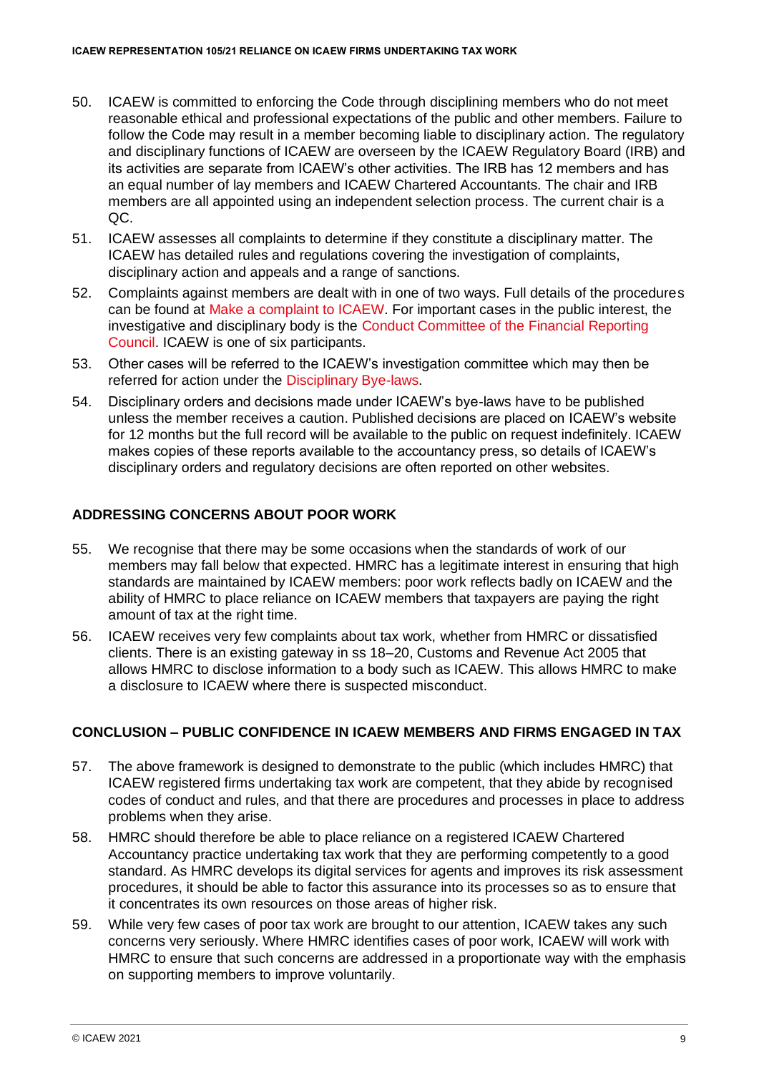- 50. ICAEW is committed to enforcing the Code through disciplining members who do not meet reasonable ethical and professional expectations of the public and other members. Failure to follow the Code may result in a member becoming liable to disciplinary action. The regulatory and disciplinary functions of ICAEW are overseen by the ICAEW Regulatory Board (IRB) and its activities are separate from ICAEW's other activities. The IRB has 12 members and has an equal number of lay members and ICAEW Chartered Accountants. The chair and IRB members are all appointed using an independent selection process. The current chair is a QC.
- 51. ICAEW assesses all [complaints t](http://www.icaew.com/~/media/Files/About-ICAEW/What-we-do/protecting-the-public/complaints-process/how-we-investigate-complaints-booklet.ashx)o determine if they constitute a disciplinary matter. The ICAEW has detailed rules and regulations covering the investigation of complaints, disciplinary action and appeals and a range of sanctions.
- 52. Complaints against members are dealt with in one of two ways. Full details of the procedures can be found at [Make a complaint to ICAEW.](https://www.icaew.com/regulation/complaints-process/make-a-complaint) For important cases in the public interest, the investigative and disciplinary body is the [Conduct Committee of the Financial Reporting](http://www.frc.org.uk/About-the-FRC/FRC-structure/Conduct-Committee.aspx) [Council.](http://www.frc.org.uk/About-the-FRC/FRC-structure/Conduct-Committee.aspx) ICAEW is one of six participants.
- 53. Other cases will be referred to the ICAEW's investigation committee which may then be referred for action under [the Disciplinary Bye-laws.](https://www.icaew.com/regulation/disciplinary-bye-laws)
- 54. Disciplinary orders and decisions made under ICAEW's bye-laws have to be published unless the member receives a caution. Published decisions are placed on ICAEW's website for 12 months but the full record will be available to the public on request indefinitely. ICAEW makes copies of these reports available to the accountancy press, so details of ICAEW's disciplinary orders and regulatory decisions are often reported on other websites.

## <span id="page-8-0"></span>**ADDRESSING CONCERNS ABOUT POOR WORK**

- 55. We recognise that there may be some occasions when the standards of work of our members may fall below that expected. HMRC has a legitimate interest in ensuring that high standards are maintained by ICAEW members: poor work reflects badly on ICAEW and the ability of HMRC to place reliance on ICAEW members that taxpayers are paying the right amount of tax at the right time.
- 56. ICAEW receives very few complaints about tax work, whether from HMRC or dissatisfied clients. There is an existing gateway in ss 18–20, Customs and Revenue Act 2005 that allows HMRC to disclose information to a body such as ICAEW. This allows HMRC to make a disclosure to ICAEW where there is suspected misconduct.

## <span id="page-8-1"></span>**CONCLUSION – PUBLIC CONFIDENCE IN ICAEW MEMBERS AND FIRMS ENGAGED IN TAX**

- 57. The above framework is designed to demonstrate to the public (which includes HMRC) that ICAEW registered firms undertaking tax work are competent, that they abide by recognised codes of conduct and rules, and that there are procedures and processes in place to address problems when they arise.
- 58. HMRC should therefore be able to place reliance on a registered ICAEW Chartered Accountancy practice undertaking tax work that they are performing competently to a good standard. As HMRC develops its digital services for agents and improves its risk assessment procedures, it should be able to factor this assurance into its processes so as to ensure that it concentrates its own resources on those areas of higher risk.
- 59. While very few cases of poor tax work are brought to our attention, ICAEW takes any such concerns very seriously. Where HMRC identifies cases of poor work, ICAEW will work with HMRC to ensure that such concerns are addressed in a proportionate way with the emphasis on supporting members to improve voluntarily.